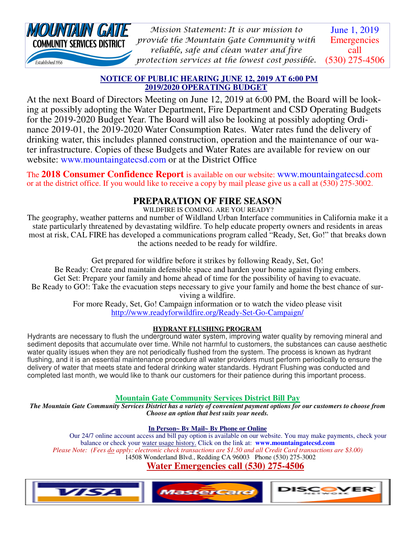

June 1, 2019 **Emergencies** call (530) 275-4506 *Mission Statement: It is our mission to provide the Mountain Gate Community with reliable, safe and clean water and fire protection services at the lowest cost possible.* 

#### **NOTICE OF PUBLIC HEARING JUNE 12, 2019 AT 6:00 PM 2019/2020 OPERATING BUDGET**

At the next Board of Directors Meeting on June 12, 2019 at 6:00 PM, the Board will be looking at possibly adopting the Water Department, Fire Department and CSD Operating Budgets for the 2019-2020 Budget Year. The Board will also be looking at possibly adopting Ordinance 2019-01, the 2019-2020 Water Consumption Rates. Water rates fund the delivery of drinking water, this includes planned construction, operation and the maintenance of our water infrastructure. Copies of these Budgets and Water Rates are available for review on our website: www.mountaingatecsd.com or at the District Office

The **2018 Consumer Confidence Report** is available on our website: www.mountaingatecsd.com or at the district office. If you would like to receive a copy by mail please give us a call at (530) 275-3002.

## **PREPARATION OF FIRE SEASON**

WILDFIRE IS COMING. ARE YOU READY?

The geography, weather patterns and number of Wildland Urban Interface communities in California make it a state particularly threatened by devastating wildfire. To help educate property owners and residents in areas most at risk, CAL FIRE has developed a communications program called "Ready, Set, Go!" that breaks down the actions needed to be ready for wildfire.

Get prepared for wildfire before it strikes by following Ready, Set, Go! Be Ready: Create and maintain defensible space and harden your home against flying embers. Get Set: Prepare your family and home ahead of time for the possibility of having to evacuate. Be Ready to GO!: Take the evacuation steps necessary to give your family and home the best chance of surviving a wildfire.

For more Ready, Set, Go! Campaign information or to watch the video please visit http://www.readyforwildfire.org/Ready-Set-Go-Campaign/

#### **HYDRANT FLUSHING PROGRAM**

Hydrants are necessary to flush the underground water system, improving water quality by removing mineral and sediment deposits that accumulate over time. While not harmful to customers, the substances can cause aesthetic water quality issues when they are not periodically flushed from the system. The process is known as hydrant flushing, and it is an essential maintenance procedure all water providers must perform periodically to ensure the delivery of water that meets state and federal drinking water standards. Hydrant Flushing was conducted and completed last month, we would like to thank our customers for their patience during this important process.

#### **Mountain Gate Community Services District Bill Pay**

*The Mountain Gate Community Services District has a variety of convenient payment options for our customers to choose from Choose an option that best suits your needs.* 

#### **In Person~ By Mail~ By Phone or Online**

 Our 24/7 online account access and bill pay option is available on our website. You may make payments, check your balance or check your water usage history. Click on the link at: **www.mountaingatecsd.com** *Please Note: (Fees do apply: electronic check transactions are \$1.50 and all Credit Card transactions are \$3.00)*  14508 Wonderland Blvd., Redding CA 96003 Phone (530) 275-3002

# **Water Emergencies call (530) 275-4506**